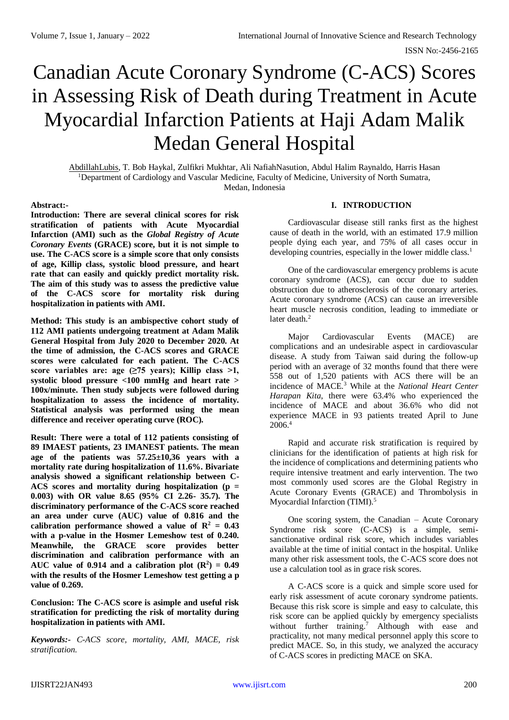# Canadian Acute Coronary Syndrome (C-ACS) Scores in Assessing Risk of Death during Treatment in Acute Myocardial Infarction Patients at Haji Adam Malik Medan General Hospital

AbdillahLubis, T. Bob Haykal, Zulfikri Mukhtar, Ali NafiahNasution, Abdul Halim Raynaldo, Harris Hasan <sup>1</sup>Department of Cardiology and Vascular Medicine, Faculty of Medicine, University of North Sumatra, Medan, Indonesia

## **Abstract:-**

**Introduction: There are several clinical scores for risk stratification of patients with Acute Myocardial Infarction (AMI) such as the** *Global Registry of Acute Coronary Events* **(GRACE) score, but it is not simple to use. The C-ACS score is a simple score that only consists of age, Killip class, systolic blood pressure, and heart rate that can easily and quickly predict mortality risk. The aim of this study was to assess the predictive value of the C-ACS score for mortality risk during hospitalization in patients with AMI.**

**Method: This study is an ambispective cohort study of 112 AMI patients undergoing treatment at Adam Malik General Hospital from July 2020 to December 2020. At the time of admission, the C-ACS scores and GRACE scores were calculated for each patient. The C-ACS score variables are: age (≥75 years); Killip class >1, systolic blood pressure <100 mmHg and heart rate > 100x/minute. Then study subjects were followed during hospitalization to assess the incidence of mortality. Statistical analysis was performed using the mean difference and receiver operating curve (ROC).**

**Result: There were a total of 112 patients consisting of 89 IMAEST patients, 23 IMANEST patients. The mean age of the patients was 57.25±10,36 years with a mortality rate during hospitalization of 11.6%. Bivariate analysis showed a significant relationship between C-ACS scores and mortality during hospitalization (p = 0.003) with OR value 8.65 (95% CI 2.26- 35.7). The discriminatory performance of the C-ACS score reached an area under curve (AUC) value of 0.816 and the**  calibration performance showed a value of  $\mathbb{R}^2 = 0.43$ **with a p-value in the Hosmer Lemeshow test of 0.240. Meanwhile, the GRACE score provides better discrimination and calibration performance with an**  AUC value of 0.914 and a calibration plot  $(\mathbb{R}^2) = 0.49$ **with the results of the Hosmer Lemeshow test getting a p value of 0.269.**

**Conclusion: The C-ACS score is asimple and useful risk stratification for predicting the risk of mortality during hospitalization in patients with AMI.**

*Keywords:- C-ACS score, mortality, AMI, MACE, risk stratification.*

## **I. INTRODUCTION**

Cardiovascular disease still ranks first as the highest cause of death in the world, with an estimated 17.9 million people dying each year, and 75% of all cases occur in developing countries, especially in the lower middle class.<sup>1</sup>

One of the cardiovascular emergency problems is acute coronary syndrome (ACS), can occur due to sudden obstruction due to atherosclerosis of the coronary arteries. Acute coronary syndrome (ACS) can cause an irreversible heart muscle necrosis condition, leading to immediate or later death.<sup>2</sup>

Major Cardiovascular Events (MACE) are complications and an undesirable aspect in cardiovascular disease. A study from Taiwan said during the follow-up period with an average of 32 months found that there were 558 out of 1,520 patients with ACS there will be an incidence of MACE.<sup>3</sup> While at the *National Heart Center Harapan Kita*, there were 63.4% who experienced the incidence of MACE and about 36.6% who did not experience MACE in 93 patients treated April to June  $2006.<sup>4</sup>$ 

Rapid and accurate risk stratification is required by clinicians for the identification of patients at high risk for the incidence of complications and determining patients who require intensive treatment and early intervention. The two most commonly used scores are the Global Registry in Acute Coronary Events (GRACE) and Thrombolysis in Myocardial Infarction (TIMI).<sup>5</sup>

One scoring system, the Canadian – Acute Coronary Syndrome risk score (C-ACS) is a simple, semisanctionative ordinal risk score, which includes variables available at the time of initial contact in the hospital. Unlike many other risk assessment tools, the C-ACS score does not use a calculation tool as in grace risk scores.

A C-ACS score is a quick and simple score used for early risk assessment of acute coronary syndrome patients. Because this risk score is simple and easy to calculate, this risk score can be applied quickly by emergency specialists without further training.<sup>7</sup> Although with ease and practicality, not many medical personnel apply this score to predict MACE. So, in this study, we analyzed the accuracy of C-ACS scores in predicting MACE on SKA.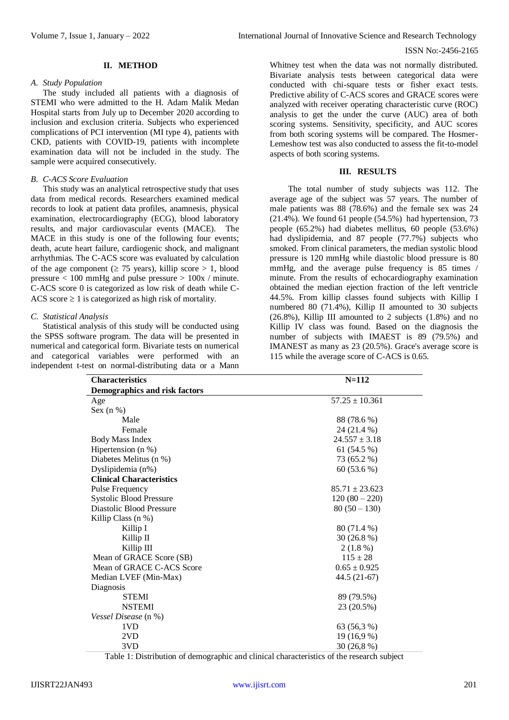#### **II. METHOD**

#### *A. Study Population*

The study included all patients with a diagnosis of STEMI who were admitted to the H. Adam Malik Medan Hospital starts from July up to December 2020 according to inclusion and exclusion criteria. Subjects who experienced complications of PCI intervention (MI type 4), patients with CKD, patients with COVID-19, patients with incomplete examination data will not be included in the study. The sample were acquired consecutively.

#### *B. C-ACS Score Evaluation*

This study was an analytical retrospective study that uses data from medical records. Researchers examined medical records to look at patient data profiles, anamnesis, physical examination, electrocardiography (ECG), blood laboratory results, and major cardiovascular events (MACE). The MACE in this study is one of the following four events; death, acute heart failure, cardiogenic shock, and malignant arrhythmias. The C-ACS score was evaluated by calculation of the age component ( $\geq$  75 years), killip score  $> 1$ , blood pressure  $< 100$  mmHg and pulse pressure  $> 100x /$  minute. C-ACS score 0 is categorized as low risk of death while C-ACS score  $\geq 1$  is categorized as high risk of mortality.

#### *C. Statistical Analysis*

Statistical analysis of this study will be conducted using the SPSS software program. The data will be presented in numerical and categorical form. Bivariate tests on numerical and categorical variables were performed with an independent t-test on normal-distributing data or a Mann Whitney test when the data was not normally distributed. Bivariate analysis tests between categorical data were conducted with chi-square tests or fisher exact tests. Predictive ability of C-ACS scores and GRACE scores were analyzed with receiver operating characteristic curve (ROC) analysis to get the under the curve (AUC) area of both scoring systems. Sensitivity, specificity, and AUC scores from both scoring systems will be compared. The Hosmer-Lemeshow test was also conducted to assess the fit-to-model aspects of both scoring systems.

#### **III. RESULTS**

The total number of study subjects was 112. The average age of the subject was 57 years. The number of male patients was 88 (78.6%) and the female sex was 24 (21.4%). We found 61 people (54.5%) had hypertension, 73 people (65.2%) had diabetes mellitus, 60 people (53.6%) had dyslipidemia, and 87 people (77.7%) subjects who smoked. From clinical parameters, the median systolic blood pressure is 120 mmHg while diastolic blood pressure is 80 mmHg, and the average pulse frequency is 85 times / minute. From the results of echocardiography examination obtained the median ejection fraction of the left ventricle 44.5%. From killip classes found subjects with Killip I numbered 80 (71.4%), Killip II amounted to 30 subjects (26.8%), Killip III amounted to 2 subjects (1.8%) and no Killip IV class was found. Based on the diagnosis the number of subjects with IMAEST is 89 (79.5%) and IMANEST as many as 23 (20.5%). Grace's average score is 115 while the average score of C-ACS is 0.65.

| <b>Characteristics</b>               | $N = 112$          |  |  |
|--------------------------------------|--------------------|--|--|
| <b>Demographics and risk factors</b> |                    |  |  |
| Age                                  | $57.25 \pm 10.361$ |  |  |
| Sex $(n %)$                          |                    |  |  |
| Male                                 | 88 (78.6 %)        |  |  |
| Female                               | 24 (21.4 %)        |  |  |
| <b>Body Mass Index</b>               | $24.557 \pm 3.18$  |  |  |
| Hipertension $(n \%)$                | 61 (54.5 %)        |  |  |
| Diabetes Melitus (n %)               | 73 (65.2 %)        |  |  |
| Dyslipidemia (n%)                    | 60 (53.6 %)        |  |  |
| <b>Clinical Characteristics</b>      |                    |  |  |
| Pulse Frequency                      | $85.71 \pm 23.623$ |  |  |
| <b>Systolic Blood Pressure</b>       | $120(80-220)$      |  |  |
| Diastolic Blood Pressure             | $80(50-130)$       |  |  |
| Killip Class $(n \%)$                |                    |  |  |
| Killip I                             | 80 (71.4 %)        |  |  |
| Killip II                            | $30(26.8\%)$       |  |  |
| Killip III                           | $2(1.8\%)$         |  |  |
| Mean of GRACE Score (SB)             | $115 \pm 28$       |  |  |
| Mean of GRACE C-ACS Score            | $0.65 \pm 0.925$   |  |  |
| Median LVEF (Min-Max)                | 44.5 (21-67)       |  |  |
| Diagnosis                            |                    |  |  |
| <b>STEMI</b>                         | 89 (79.5%)         |  |  |
| <b>NSTEMI</b>                        | 23 (20.5%)         |  |  |
| Vessel Disease (n %)                 |                    |  |  |
| 1VD                                  | 63 (56,3 %)        |  |  |
| 2VD                                  | 19 (16,9 %)        |  |  |
| 3VD                                  | 30 (26,8 %)        |  |  |

Table 1: Distribution of demographic and clinical characteristics of the research subject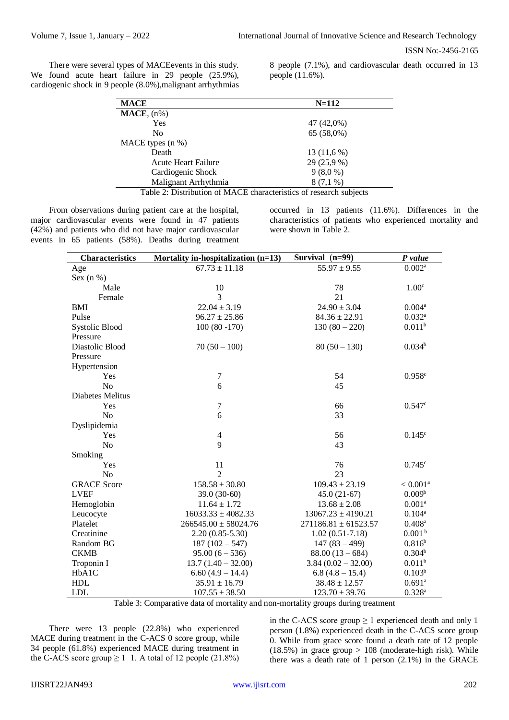There were several types of MACEevents in this study. We found acute heart failure in 29 people (25.9%), cardiogenic shock in 9 people (8.0%),malignant arrhythmias

8 people (7.1%), and cardiovascular death occurred in 13 people (11.6%).

| <b>MACE</b>                                                        | $N = 112$    |  |  |
|--------------------------------------------------------------------|--------------|--|--|
| $\textbf{MACE}, \text{(n%)}$                                       |              |  |  |
| Yes                                                                | 47 (42,0%)   |  |  |
| N <sub>0</sub>                                                     | $65(58,0\%)$ |  |  |
| MACE types $(n %)$                                                 |              |  |  |
| Death                                                              | 13(11,6%)    |  |  |
| <b>Acute Heart Failure</b>                                         | 29 (25,9 %)  |  |  |
| Cardiogenic Shock                                                  | 9(8,0%       |  |  |
| Malignant Arrhythmia                                               | 8 (7,1 %)    |  |  |
| Table 2: Distribution of MACE characteristics of research subjects |              |  |  |

From observations during patient care at the hospital, major cardiovascular events were found in 47 patients (42%) and patients who did not have major cardiovascular events in 65 patients (58%). Deaths during treatment

occurred in 13 patients (11.6%). Differences in the characteristics of patients who experienced mortality and were shown in Table 2.

| <b>Characteristics</b> | Mortality in-hospitalization (n=13) | Survival (n=99)          | P value              |  |
|------------------------|-------------------------------------|--------------------------|----------------------|--|
| Age                    | $67.73 \pm 11.18$                   | $55.97 \pm 9.55$         | $0.002^a$            |  |
| Sex $(n %)$            |                                     |                          |                      |  |
| Male                   | 10                                  | 78                       | 1.00 <sup>c</sup>    |  |
| Female                 | $\overline{3}$                      | 21                       |                      |  |
| <b>BMI</b>             | $22.04 \pm 3.19$                    | $24.90 \pm 3.04$         | 0.004 <sup>a</sup>   |  |
| Pulse                  | $96.27 \pm 25.86$                   | $84.36 \pm 22.91$        | $0.032^{a}$          |  |
| <b>Systolic Blood</b>  | $100(80 - 170)$                     | $130(80-220)$            | 0.011 <sup>b</sup>   |  |
| Pressure               |                                     |                          |                      |  |
| Diastolic Blood        | $70(50-100)$                        | $80(50-130)$             | 0.034 <sup>b</sup>   |  |
| Pressure               |                                     |                          |                      |  |
| Hypertension           |                                     |                          |                      |  |
| Yes                    | 7                                   | 54                       | 0.958c               |  |
| N <sub>o</sub>         | 6                                   | 45                       |                      |  |
| Diabetes Melitus       |                                     |                          |                      |  |
| Yes                    | $\tau$                              | 66                       | 0.547c               |  |
| N <sub>o</sub>         | 6                                   | 33                       |                      |  |
| Dyslipidemia           |                                     |                          |                      |  |
| Yes                    | $\overline{\mathcal{L}}$            | 56                       | $0.145^{\circ}$      |  |
| N <sub>0</sub>         | 9                                   | 43                       |                      |  |
| Smoking                |                                     |                          |                      |  |
| Yes                    | 11                                  | 76                       | $0.745^{\circ}$      |  |
| No                     | $\overline{2}$                      | 23                       |                      |  |
| <b>GRACE Score</b>     | $158.58 \pm 30.80$                  | $109.43 \pm 23.19$       | $< 0.001$ $^{\rm a}$ |  |
| <b>LVEF</b>            | 39.0 (30-60)                        | $45.0(21-67)$            | 0.009 <sup>b</sup>   |  |
| Hemoglobin             | $11.64 \pm 1.72$                    | $13.68 \pm 2.08$         | 0.001 <sup>a</sup>   |  |
| Leucocyte              | $16033.33 \pm 4082.33$              | $13067.23 \pm 4190.21$   | $0.104^{a}$          |  |
| Platelet               | $266545.00 \pm 58024.76$            | $271186.81 \pm 61523.57$ | $0.408^{\rm a}$      |  |
| Creatinine             | $2.20(0.85 - 5.30)$                 | $1.02(0.51 - 7.18)$      | 0.001 <sup>b</sup>   |  |
| Random BG              | $187(102 - 547)$                    | $147(83-499)$            | $0.816^{b}$          |  |
| <b>CKMB</b>            | $95.00(6 - 536)$                    | $88.00(13-684)$          | $0.304^b$            |  |
| Troponin I             | $13.7(1.40 - 32.00)$                | $3.84(0.02 - 32.00)$     | 0.011 <sup>b</sup>   |  |
| HbA1C                  | $6.60(4.9 - 14.4)$                  | $6.8(4.8-15.4)$          | 0.103 <sup>b</sup>   |  |
| HDL                    | $35.91 \pm 16.79$                   | $38.48 \pm 12.57$        | $0.691$ <sup>a</sup> |  |
| <b>LDL</b>             | $107.55 \pm 38.50$                  | $123.70 \pm 39.76$       | $0.328^{a}$          |  |

Table 3: Comparative data of mortality and non-mortality groups during treatment

There were 13 people (22.8%) who experienced MACE during treatment in the C-ACS 0 score group, while 34 people (61.8%) experienced MACE during treatment in the C-ACS score group  $\geq 1$  1. A total of 12 people (21.8%)

in the C-ACS score group  $\geq 1$  experienced death and only 1 person (1.8%) experienced death in the C-ACS score group 0. While from grace score found a death rate of 12 people  $(18.5\%)$  in grace group  $> 108$  (moderate-high risk). While there was a death rate of 1 person (2.1%) in the GRACE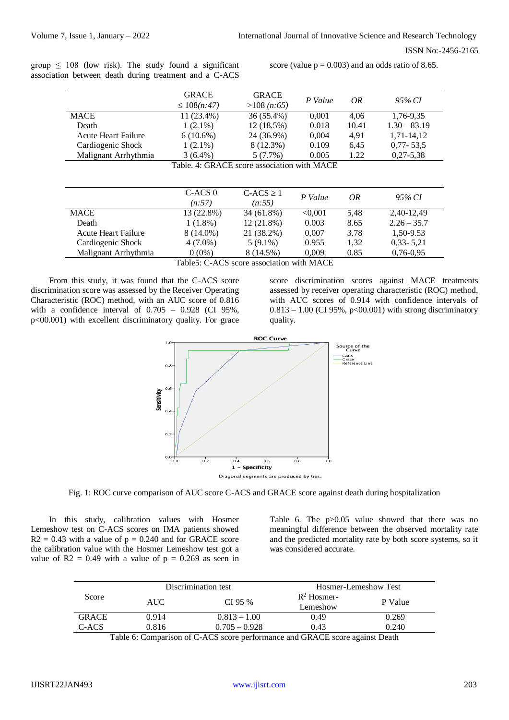group  $\leq 108$  (low risk). The study found a significant association between death during treatment and a C-ACS

score (value  $p = 0.003$ ) and an odds ratio of 8.65.

|                                             | <b>GRACE</b><br>$\leq 108(n:47)$ | <b>GRACE</b><br>>108(n:65) | P Value | OR    | 95% CI         |
|---------------------------------------------|----------------------------------|----------------------------|---------|-------|----------------|
| <b>MACE</b>                                 | 11 (23.4%)                       | 36 (55.4%)                 | 0,001   | 4,06  | 1,76-9,35      |
| Death                                       | $1(2.1\%)$                       | 12 (18.5%)                 | 0.018   | 10.41 | $1.30 - 83.19$ |
| Acute Heart Failure                         | $6(10.6\%)$                      | 24 (36.9%)                 | 0,004   | 4,91  | 1,71-14,12     |
| Cardiogenic Shock                           | $1(2.1\%)$                       | 8 (12.3%)                  | 0.109   | 6,45  | $0,77 - 53,5$  |
| Malignant Arrhythmia                        | $3(6.4\%)$                       | 5(7.7%)                    | 0.005   | 1.22  | $0,27-5,38$    |
| Table. 4: GRACE score association with MACE |                                  |                            |         |       |                |
|                                             |                                  |                            |         |       |                |

|                            | C-ACS 0    | $C-ACS \ge 1$ | P Value | OR   | 95% CI        |
|----------------------------|------------|---------------|---------|------|---------------|
|                            | (n:57)     | (n:55)        |         |      |               |
| MACE                       | 13 (22.8%) | 34 (61.8%)    | < 0.001 | 5.48 | 2.40-12.49    |
| Death                      | $1(1.8\%)$ | 12 (21.8%)    | 0.003   | 8.65 | $2.26 - 35.7$ |
| <b>Acute Heart Failure</b> | 8 (14.0%)  | 21 (38.2%)    | 0,007   | 3.78 | 1,50-9.53     |
| Cardiogenic Shock          | $4(7.0\%)$ | $5(9.1\%)$    | 0.955   | 1,32 | $0,33 - 5,21$ |
| Malignant Arrhythmia       | $0(0\%)$   | 8 (14.5%)     | 0.009   | 0.85 | $0,76-0.95$   |

Table5: C-ACS score association with MACE

From this study, it was found that the C-ACS score discrimination score was assessed by the Receiver Operating Characteristic (ROC) method, with an AUC score of 0.816 with a confidence interval of  $0.705 - 0.928$  (CI 95%, p<00.001) with excellent discriminatory quality. For grace

score discrimination scores against MACE treatments assessed by receiver operating characteristic (ROC) method, with AUC scores of 0.914 with confidence intervals of  $0.813 - 1.00$  (CI 95%, p<00.001) with strong discriminatory quality.



Fig. 1: ROC curve comparison of AUC score C-ACS and GRACE score against death during hospitalization

In this study, calibration values with Hosmer Lemeshow test on C-ACS scores on IMA patients showed  $R2 = 0.43$  with a value of  $p = 0.240$  and for GRACE score the calibration value with the Hosmer Lemeshow test got a value of  $R2 = 0.49$  with a value of  $p = 0.269$  as seen in

Table 6. The p>0.05 value showed that there was no meaningful difference between the observed mortality rate and the predicted mortality rate by both score systems, so it was considered accurate.

|              |       | Discrimination test |                           | Hosmer-Lemeshow Test |  |
|--------------|-------|---------------------|---------------------------|----------------------|--|
| Score        | AUC-  | $CI$ 95 %           | $R^2$ Hosmer-<br>Lemeshow | P Value              |  |
| <b>GRACE</b> | 0.914 | $0.813 - 1.00$      | 0.49                      | 0.269                |  |
| C-ACS        | 0.816 | $0.705 - 0.928$     | 0.43                      | 0.240                |  |

Table 6: Comparison of C-ACS score performance and GRACE score against Death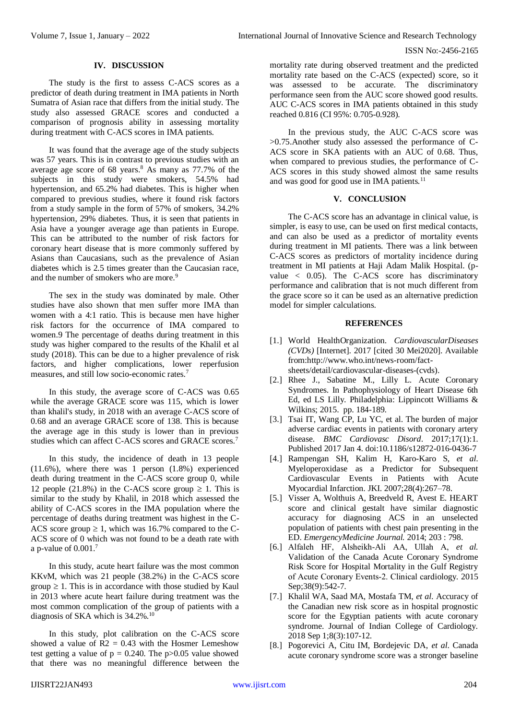#### **IV. DISCUSSION**

The study is the first to assess C-ACS scores as a predictor of death during treatment in IMA patients in North Sumatra of Asian race that differs from the initial study. The study also assessed GRACE scores and conducted a comparison of prognosis ability in assessing mortality during treatment with C-ACS scores in IMA patients.

It was found that the average age of the study subjects was 57 years. This is in contrast to previous studies with an average age score of  $68$  years.<sup>8</sup> As many as  $77.7\%$  of the subjects in this study were smokers, 54.5% had hypertension, and 65.2% had diabetes. This is higher when compared to previous studies, where it found risk factors from a study sample in the form of 57% of smokers, 34.2% hypertension, 29% diabetes. Thus, it is seen that patients in Asia have a younger average age than patients in Europe. This can be attributed to the number of risk factors for coronary heart disease that is more commonly suffered by Asians than Caucasians, such as the prevalence of Asian diabetes which is 2.5 times greater than the Caucasian race, and the number of smokers who are more.<sup>9</sup>

The sex in the study was dominated by male. Other studies have also shown that men suffer more IMA than women with a 4:1 ratio. This is because men have higher risk factors for the occurrence of IMA compared to women.9 The percentage of deaths during treatment in this study was higher compared to the results of the Khalil et al study (2018). This can be due to a higher prevalence of risk factors, and higher complications, lower reperfusion measures, and still low socio-economic rates.<sup>7</sup>

In this study, the average score of C-ACS was 0.65 while the average GRACE score was 115, which is lower than khalil's study, in 2018 with an average C-ACS score of 0.68 and an average GRACE score of 138. This is because the average age in this study is lower than in previous studies which can affect C-ACS scores and GRACE scores.<sup>7</sup>

In this study, the incidence of death in 13 people (11.6%), where there was 1 person (1.8%) experienced death during treatment in the C-ACS score group 0, while 12 people (21.8%) in the C-ACS score group  $\geq$  1. This is similar to the study by Khalil, in 2018 which assessed the ability of C-ACS scores in the IMA population where the percentage of deaths during treatment was highest in the C-ACS score group  $\geq 1$ , which was 16.7% compared to the C-ACS score of 0 which was not found to be a death rate with a p-value of 0.001.<sup>7</sup>

In this study, acute heart failure was the most common KKvM, which was 21 people (38.2%) in the C-ACS score group  $\geq 1$ . This is in accordance with those studied by Kaul in 2013 where acute heart failure during treatment was the most common complication of the group of patients with a diagnosis of SKA which is 34.2%.<sup>10</sup>

In this study, plot calibration on the C-ACS score showed a value of  $R2 = 0.43$  with the Hosmer Lemeshow test getting a value of  $p = 0.240$ . The p $> 0.05$  value showed that there was no meaningful difference between the mortality rate during observed treatment and the predicted mortality rate based on the C-ACS (expected) score, so it was assessed to be accurate. The discriminatory performance seen from the AUC score showed good results. AUC C-ACS scores in IMA patients obtained in this study reached 0.816 (CI 95%: 0.705-0.928).

In the previous study, the AUC C-ACS score was >0.75.Another study also assessed the performance of C-ACS score in SKA patients with an AUC of 0.68. Thus, when compared to previous studies, the performance of C-ACS scores in this study showed almost the same results and was good for good use in IMA patients.<sup>11</sup>

## **V. CONCLUSION**

The C-ACS score has an advantage in clinical value, is simpler, is easy to use, can be used on first medical contacts, and can also be used as a predictor of mortality events during treatment in MI patients. There was a link between C-ACS scores as predictors of mortality incidence during treatment in MI patients at Haji Adam Malik Hospital. (pvalue < 0.05). The C-ACS score has discriminatory performance and calibration that is not much different from the grace score so it can be used as an alternative prediction model for simpler calculations.

## **REFERENCES**

- [1.] World HealthOrganization. *CardiovascularDiseases (CVDs)* [Internet]. 2017 [cited 30 Mei2020]. Available from[:http://www.who.int/news-room/fact](http://www.who.int/news-room/fact-sheets/detail/cardiovascular-diseases-(cvds))[sheets/detail/cardiovascular-diseases-\(cvds\).](http://www.who.int/news-room/fact-sheets/detail/cardiovascular-diseases-(cvds))
- [2.] Rhee J., Sabatine M., Lilly L. Acute Coronary Syndromes. In Pathophysiology of Heart Disease 6th Ed, ed LS Lilly. Philadelphia: Lippincott Williams & Wilkins; 2015. pp. 184-189.
- [3.] Tsai IT, Wang CP, Lu YC, et al. The burden of major adverse cardiac events in patients with coronary artery disease. *BMC Cardiovasc Disord*. 2017;17(1):1. Published 2017 Jan 4. doi:10.1186/s12872-016-0436-7
- [4.] Rampengan SH, Kalim H, Karo-Karo S, *et al*. Myeloperoxidase as a Predictor for Subsequent Cardiovascular Events in Patients with Acute Myocardial Infarction. JKI. 2007;28(4):267–78.
- [5.] Visser A, Wolthuis A, Breedveld R, Avest E. HEART score and clinical gestalt have similar diagnostic accuracy for diagnosing ACS in an unselected population of patients with chest pain presenting in the ED. *EmergencyMedicine Journal.* 2014; 203 : 798.
- [6.] Alfaleh HF, Alsheikh‐Ali AA, Ullah A, *et al.* Validation of the Canada Acute Coronary Syndrome Risk Score for Hospital Mortality in the Gulf Registry of Acute Coronary Events‐2. Clinical cardiology. 2015 Sep: 38(9): 542-7.
- [7.] Khalil WA, Saad MA, Mostafa TM, *et al*. Accuracy of the Canadian new risk score as in hospital prognostic score for the Egyptian patients with acute coronary syndrome. Journal of Indian College of Cardiology. 2018 Sep 1;8(3):107-12.
- [8.] Pogorevici A, Citu IM, Bordejevic DA, *et al*. Canada acute coronary syndrome score was a stronger baseline